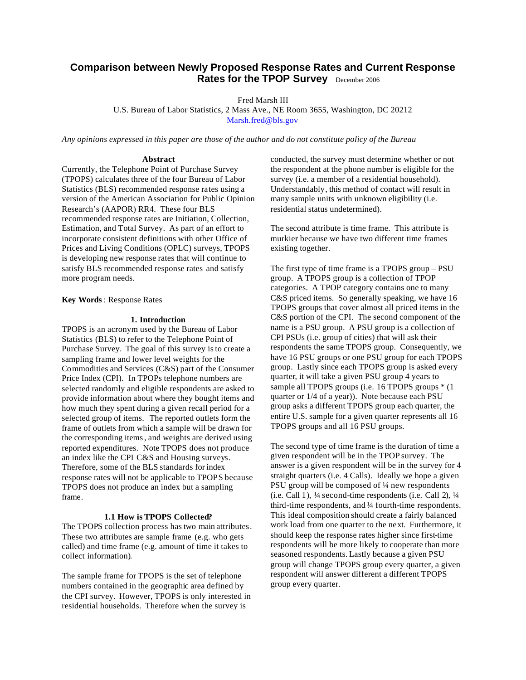# **Comparison between Newly Proposed Response Rates and Current Response Rates for the TPOP Survey** December 2006

Fred Marsh III

U.S. Bureau of Labor Statistics, 2 Mass Ave., NE Room 3655, Washington, DC 20212 Marsh.fred@bls.gov

*Any opinions expressed in this paper are those of the author and do not constitute policy of the Bureau*

### **Abstract**

Currently, the Telephone Point of Purchase Survey (TPOPS) calculates three of the four Bureau of Labor Statistics (BLS) recommended response rates using a version of the American Association for Public Opinion Research's (AAPOR) RR4. These four BLS recommended response rates are Initiation, Collection, Estimation, and Total Survey. As part of an effort to incorporate consistent definitions with other Office of Prices and Living Conditions (OPLC) surveys, TPOPS is developing new response rates that will continue to satisfy BLS recommended response rates and satisfy more program needs.

### **Key Words** : Response Rates

### **1. Introduction**

TPOPS is an acronym used by the Bureau of Labor Statistics (BLS) to refer to the Telephone Point of Purchase Survey. The goal of this survey is to create a sampling frame and lower level weights for the Commodities and Services (C&S) part of the Consumer Price Index (CPI). In TPOPs telephone numbers are selected randomly and eligible respondents are asked to provide information about where they bought items and how much they spent during a given recall period for a selected group of items. The reported outlets form the frame of outlets from which a sample will be drawn for the corresponding items, and weights are derived using reported expenditures. Note TPOPS does not produce an index like the CPI C&S and Housing surveys. Therefore, some of the BLS standards for index response rates will not be applicable to TPOPS because TPOPS does not produce an index but a sampling frame.

#### **1.1 How is TPOPS Collected?**

The TPOPS collection process has two main attributes. These two attributes are sample frame (e.g. who gets called) and time frame (e.g. amount of time it takes to collect information).

The sample frame for TPOPS is the set of telephone numbers contained in the geographic area defined by the CPI survey. However, TPOPS is only interested in residential households. Therefore when the survey is

conducted, the survey must determine whether or not the respondent at the phone number is eligible for the survey (i.e. a member of a residential household). Understandably, this method of contact will result in many sample units with unknown eligibility (i.e. residential status undetermined).

The second attribute is time frame. This attribute is murkier because we have two different time frames existing together.

The first type of time frame is a TPOPS group – PSU group. A TPOPS group is a collection of TPOP categories. A TPOP category contains one to many C&S priced items. So generally speaking, we have 16 TPOPS groups that cover almost all priced items in the C&S portion of the CPI. The second component of the name is a PSU group. A PSU group is a collection of CPI PSUs (i.e. group of cities) that will ask their respondents the same TPOPS group. Consequently, we have 16 PSU groups or one PSU group for each TPOPS group. Lastly since each TPOPS group is asked every quarter, it will take a given PSU group 4 years to sample all TPOPS groups (i.e. 16 TPOPS groups \* (1 quarter or 1/4 of a year)). Note because each PSU group asks a different TPOPS group each quarter, the entire U.S. sample for a given quarter represents all 16 TPOPS groups and all 16 PSU groups.

The second type of time frame is the duration of time a given respondent will be in the TPOP survey. The answer is a given respondent will be in the survey for 4 straight quarters (i.e. 4 Calls). Ideally we hope a given PSU group will be composed of ¼ new respondents (i.e. Call 1), ¼ second-time respondents (i.e. Call 2), ¼ third-time respondents, and ¼ fourth-time respondents. This ideal composition should create a fairly balanced work load from one quarter to the next. Furthermore, it should keep the response rates higher since first-time respondents will be more likely to cooperate than more seasoned respondents. Lastly because a given PSU group will change TPOPS group every quarter, a given respondent will answer different a different TPOPS group every quarter.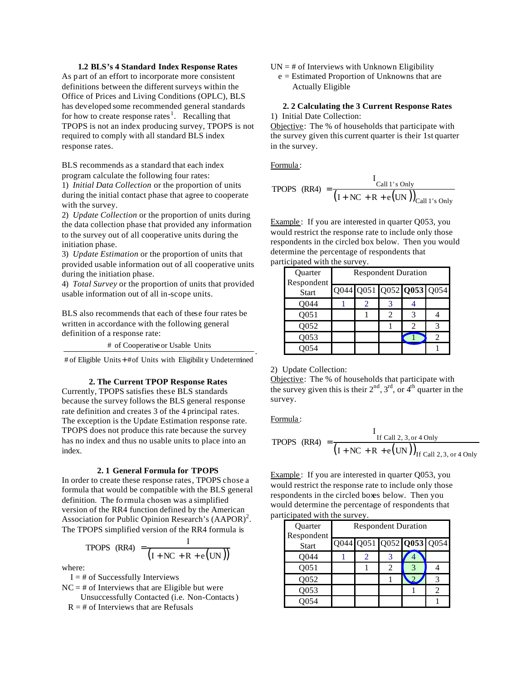# **1.2 BLS's 4 Standard Index Response Rates**

As part of an effort to incorporate more consistent definitions between the different surveys within the Office of Prices and Living Conditions (OPLC), BLS has developed some recommended general standards for how to create response rates<sup>1</sup>. Recalling that TPOPS is not an index producing survey, TPOPS is not required to comply with all standard BLS index response rates.

BLS recommends as a standard that each index program calculate the following four rates:

1) *Initial Data Collection* or the proportion of units during the initial contact phase that agree to cooperate with the survey.

2) *Update Collection* or the proportion of units during the data collection phase that provided any information to the survey out of all cooperative units during the initiation phase.

3) *Update Estimation* or the proportion of units that provided usable information out of all cooperative units during the initiation phase.

4) *Total Survey* or the proportion of units that provided usable information out of all in-scope units.

BLS also recommends that each of these four rates be written in accordance with the following general definition of a response rate:

# of Cooperative or Usable Units

# of Eligible Units + # of Units with Eligibility Undetermined

# **2. The Current TPOP Response Rates**

Currently, TPOPS satisfies these BLS standards because the survey follows the BLS general response rate definition and creates 3 of the 4 principal rates. The exception is the Update Estimation response rate. TPOPS does not produce this rate because the survey has no index and thus no usable units to place into an index.

### **2. 1 General Formula for TPOPS**

In order to create these response rates, TPOPS chose a formula that would be compatible with the BLS general definition. The fo rmula chosen was a simplified version of the RR4 function defined by the American Association for Public Opinion Research's  $(AAPOR)^2$ . The TPOPS simplified version of the RR4 formula is

$$
\text{TPOPS (RR4)} = \frac{I}{\left(I + NC + R + e\left(UN\right)\right)}
$$

where:

 $I = #$  of Successfully Interviews

- $NC = #$  of Interviews that are Eligible but were
	- Unsuccessfully Contacted (i.e. Non-Contacts)
	- $R = #$  of Interviews that are Refusals
- $UN = #$  of Interviews with Unknown Eligibility
	- e = Estimated Proportion of Unknowns that are Actually Eligible

# **2. 2 Calculating the 3 Current Response Rates**

1) Initial Date Collection:

Objective: The % of households that participate with the survey given this current quarter is their 1st quarter in the survey.

Formula :

$$
\text{TPOPS (RR4)} = \frac{I_{\text{Call 1's Only}}}{\left(I + \text{NC} + \text{R} + \text{e(UN)}\right)_{\text{Call 1's Only}}}
$$

Example: If you are interested in quarter Q053, you would restrict the response rate to include only those respondents in the circled box below. Then you would determine the percentage of respondents that participated with the survey.

| Quarter<br>Respondent | <b>Respondent Duration</b> |  |  |                          |  |  |  |  |
|-----------------------|----------------------------|--|--|--------------------------|--|--|--|--|
| <b>Start</b>          |                            |  |  | Q044 Q051 Q052 Q053 Q054 |  |  |  |  |
| Q044                  |                            |  |  |                          |  |  |  |  |
| Q <sub>051</sub>      |                            |  |  |                          |  |  |  |  |
| Q052                  |                            |  |  | $\mathfrak{D}$           |  |  |  |  |
| Q053                  |                            |  |  |                          |  |  |  |  |
|                       |                            |  |  |                          |  |  |  |  |

2) Update Collection:

Objective: The % of households that participate with the survey given this is their  $2<sup>nd</sup>$ ,  $3<sup>rd</sup>$ , or  $4<sup>th</sup>$  quarter in the survey.

Formula :

.

TPOPS (RR4) = 
$$
\frac{I_{\text{If Call 2, 3, or 4 Only}}}{(I + NC + R + e(UN))_{\text{If Call 2, 3, or 4 Only}}}
$$

Example: If you are interested in quarter Q053, you would restrict the response rate to include only those respondents in the circled boxes below. Then you would determine the percentage of respondents that participated with the survey.

| Quarter<br>Respondent | <b>Respondent Duration</b> |                          |               |  |  |  |  |  |  |
|-----------------------|----------------------------|--------------------------|---------------|--|--|--|--|--|--|
| <b>Start</b>          |                            | Q044 Q051 Q052 Q053 Q054 |               |  |  |  |  |  |  |
| O044                  |                            |                          | 3             |  |  |  |  |  |  |
| Q051                  |                            |                          | $\mathcal{L}$ |  |  |  |  |  |  |
| O052                  |                            |                          |               |  |  |  |  |  |  |
| O053                  |                            |                          |               |  |  |  |  |  |  |
|                       |                            |                          |               |  |  |  |  |  |  |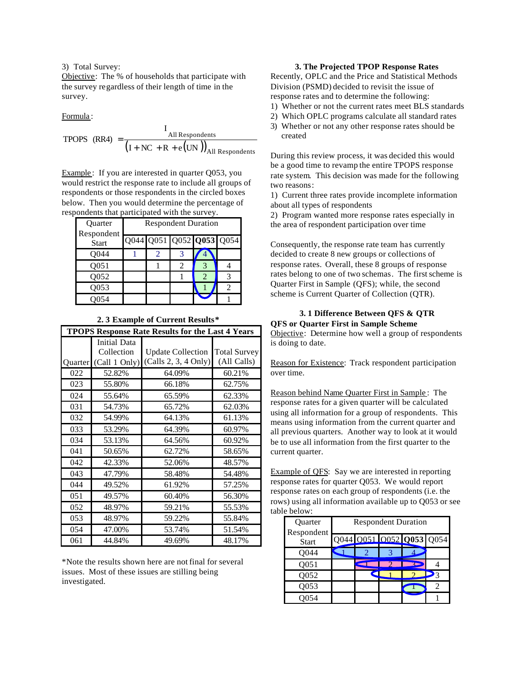3) Total Survey:

Objective: The % of households that participate with the survey regardless of their length of time in the survey.

Formula :

TPOPS (RR4) = 
$$
\frac{1_{\text{All Responsibility}}}{(1 + \text{NC} + \text{R} + \text{e(UN)})_{\text{All Responsibility}}}
$$

**T** 

Example : If you are interested in quarter Q053, you would restrict the response rate to include all groups of respondents or those respondents in the circled boxes below. Then you would determine the percentage of respondents that participated with the survey.

| Quarter                    | <b>Respondent Duration</b> |  |   |                          |  |  |  |  |
|----------------------------|----------------------------|--|---|--------------------------|--|--|--|--|
| Respondent<br><b>Start</b> |                            |  |   | Q044 Q051 Q052 Q053 Q054 |  |  |  |  |
| O044                       |                            |  |   |                          |  |  |  |  |
| Q051                       |                            |  | 2 |                          |  |  |  |  |
| Q052                       |                            |  |   |                          |  |  |  |  |
| Q053                       |                            |  |   |                          |  |  |  |  |
|                            |                            |  |   |                          |  |  |  |  |

#### **2. 3 Example of Current Results\***

|         | <b>TPOPS Response Rate Results for the Last 4 Years</b> |                          |                     |  |  |  |  |  |  |  |
|---------|---------------------------------------------------------|--------------------------|---------------------|--|--|--|--|--|--|--|
|         | Initial Data                                            |                          |                     |  |  |  |  |  |  |  |
|         | Collection                                              | <b>Update Collection</b> | <b>Total Survey</b> |  |  |  |  |  |  |  |
| Quarter | (Call 1 Only)                                           | (Calls 2, 3, 4 Only)     | (All Calls)         |  |  |  |  |  |  |  |
| 022     | 52.82%                                                  | 64.09%                   | 60.21%              |  |  |  |  |  |  |  |
| 023     | 55.80%                                                  | 66.18%                   | 62.75%              |  |  |  |  |  |  |  |
| 024     | 55.64%                                                  | 65.59%                   | 62.33%              |  |  |  |  |  |  |  |
| 031     | 54.73%                                                  | 65.72%                   | 62.03%              |  |  |  |  |  |  |  |
| 032     | 54.99%                                                  | 64.13%                   | 61.13%              |  |  |  |  |  |  |  |
| 033     | 53.29%                                                  | 64.39%                   | 60.97%              |  |  |  |  |  |  |  |
| 034     | 53.13%                                                  | 64.56%                   | 60.92%              |  |  |  |  |  |  |  |
| 041     | 50.65%                                                  | 62.72%                   | 58.65%              |  |  |  |  |  |  |  |
| 042     | 42.33%                                                  | 52.06%                   | 48.57%              |  |  |  |  |  |  |  |
| 043     | 47.79%                                                  | 58.48%                   | 54.48%              |  |  |  |  |  |  |  |
| 044     | 49.52%                                                  | 61.92%                   | 57.25%              |  |  |  |  |  |  |  |
| 051     | 49.57%                                                  | 60.40%                   | 56.30%              |  |  |  |  |  |  |  |
| 052     | 48.97%                                                  | 59.21%                   | 55.53%              |  |  |  |  |  |  |  |
| 053     | 48.97%                                                  | 59.22%                   | 55.84%              |  |  |  |  |  |  |  |
| 054     | 47.00%                                                  | 53.74%                   | 51.54%              |  |  |  |  |  |  |  |
| 061     | 44.84%                                                  | 49.69%                   | 48.17%              |  |  |  |  |  |  |  |

\*Note the results shown here are not final for several issues. Most of these issues are stilling being investigated.

# **3. The Projected TPOP Response Rates**

Recently, OPLC and the Price and Statistical Methods Division (PSMD) decided to revisit the issue of response rates and to determine the following:

- 1) Whether or not the current rates meet BLS standards
- 2) Which OPLC programs calculate all standard rates
- 3) Whether or not any other response rates should be created

During this review process, it was decided this would be a good time to revamp the entire TPOPS response rate system. This decision was made for the following two reasons:

1) Current three rates provide incomplete information about all types of respondents

2) Program wanted more response rates especially in the area of respondent participation over time

Consequently, the response rate team has currently decided to create 8 new groups or collections of response rates. Overall, these 8 groups of response rates belong to one of two schemas. The first scheme is Quarter First in Sample (QFS); while, the second scheme is Current Quarter of Collection (QTR).

# **3. 1 Difference Between QFS & QTR QFS or Quarter First in Sample Scheme**

Objective: Determine how well a group of respondents is doing to date.

Reason for Existence: Track respondent participation over time.

Reason behind Name Quarter First in Sample : The response rates for a given quarter will be calculated using all information for a group of respondents. This means using information from the current quarter and all previous quarters. Another way to look at it would be to use all information from the first quarter to the current quarter.

Example of QFS: Say we are interested in reporting response rates for quarter Q053. We would report response rates on each group of respondents (i.e. the rows) using all information available up to Q053 or see table below:

| Quarter<br>Respondent | <b>Respondent Duration</b> |                          |  |  |  |  |  |  |
|-----------------------|----------------------------|--------------------------|--|--|--|--|--|--|
| <b>Start</b>          |                            | Q044 0051 0052 Q053 Q054 |  |  |  |  |  |  |
| Q044                  |                            |                          |  |  |  |  |  |  |
| Q <sub>051</sub>      |                            |                          |  |  |  |  |  |  |
| Q052                  |                            |                          |  |  |  |  |  |  |
| Q053                  |                            |                          |  |  |  |  |  |  |
|                       |                            |                          |  |  |  |  |  |  |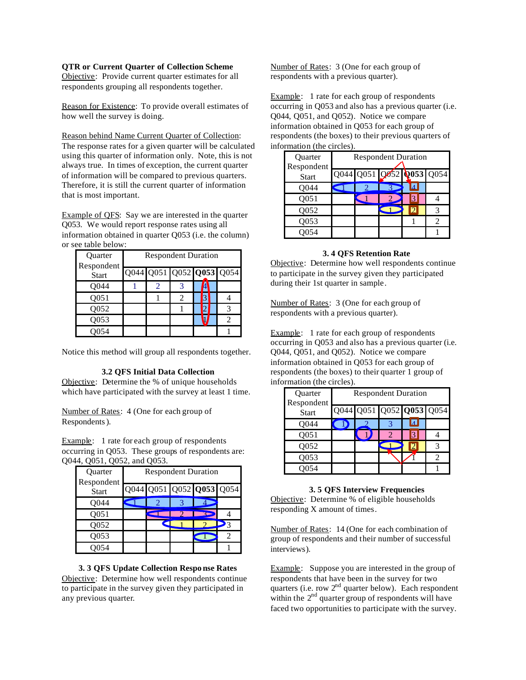# **QTR or Current Quarter of Collection Scheme**

Objective: Provide current quarter estimates for all respondents grouping all respondents together.

Reason for Existence: To provide overall estimates of how well the survey is doing.

Reason behind Name Current Quarter of Collection: The response rates for a given quarter will be calculated using this quarter of information only. Note, this is not always true. In times of exception, the current quarter of information will be compared to previous quarters. Therefore, it is still the current quarter of information that is most important.

Example of QFS: Say we are interested in the quarter Q053. We would report response rates using all information obtained in quarter Q053 (i.e. the column) or see table below:

| Quarter<br>Respondent | <b>Respondent Duration</b> |                          |   |  |  |  |  |  |
|-----------------------|----------------------------|--------------------------|---|--|--|--|--|--|
| <b>Start</b>          |                            | Q044 Q051 Q052 Q053 Q054 |   |  |  |  |  |  |
| Q044                  |                            | 2                        |   |  |  |  |  |  |
| Q <sub>051</sub>      |                            |                          | 2 |  |  |  |  |  |
| Q052                  |                            |                          |   |  |  |  |  |  |
| O053                  |                            |                          |   |  |  |  |  |  |
|                       |                            |                          |   |  |  |  |  |  |

Notice this method will group all respondents together.

## **3.2 QFS Initial Data Collection**

Objective: Determine the % of unique households which have participated with the survey at least 1 time.

Number of Rates: 4 (One for each group of Respondents).

Example: 1 rate for each group of respondents occurring in Q053. These groups of respondents are: Q044, Q051, Q052, and Q053.

| Quarter<br>Respondent | <b>Respondent Duration</b> |  |  |                          |  |  |  |
|-----------------------|----------------------------|--|--|--------------------------|--|--|--|
| <b>Start</b>          |                            |  |  | Q044 Q051 Q052 Q053 Q054 |  |  |  |
| O044                  |                            |  |  |                          |  |  |  |
| Q <sub>051</sub>      |                            |  |  |                          |  |  |  |
| Q052                  |                            |  |  |                          |  |  |  |
| Q053                  |                            |  |  |                          |  |  |  |
|                       |                            |  |  |                          |  |  |  |

## **3. 3 QFS Update Collection Respo nse Rates**

Objective: Determine how well respondents continue to participate in the survey given they participated in any previous quarter.

Number of Rates: 3 (One for each group of respondents with a previous quarter).

Example: 1 rate for each group of respondents occurring in Q053 and also has a previous quarter (i.e. Q044, Q051, and Q052). Notice we compare information obtained in Q053 for each group of respondents (the boxes) to their previous quarters of information (the circles).

| Quarter                    | <b>Respondent Duration</b> |  |  |                |                          |  |  |  |
|----------------------------|----------------------------|--|--|----------------|--------------------------|--|--|--|
| Respondent<br><b>Start</b> |                            |  |  |                | Q044 Q051 Q052 Q053 Q054 |  |  |  |
| O044                       |                            |  |  | $\overline{A}$ |                          |  |  |  |
| Q051                       |                            |  |  | 13             |                          |  |  |  |
| Q052                       |                            |  |  | $\overline{D}$ |                          |  |  |  |
| Q053                       |                            |  |  |                |                          |  |  |  |
|                            |                            |  |  |                |                          |  |  |  |

### **3. 4 QFS Retention Rate**

Objective: Determine how well respondents continue to participate in the survey given they participated during their 1st quarter in sample.

Number of Rates: 3 (One for each group of respondents with a previous quarter).

Example: 1 rate for each group of respondents occurring in Q053 and also has a previous quarter (i.e. Q044, Q051, and Q052). Notice we compare information obtained in Q053 for each group of respondents (the boxes) to their quarter 1 group of information (the circles).

| Quarter<br>Respondent | <b>Respondent Duration</b> |                          |  |    |  |  |  |  |
|-----------------------|----------------------------|--------------------------|--|----|--|--|--|--|
| <b>Start</b>          |                            | Q044 Q051 Q052 Q053 Q054 |  |    |  |  |  |  |
| Q044                  |                            |                          |  | Iи |  |  |  |  |
| Q <sub>051</sub>      |                            |                          |  | 13 |  |  |  |  |
| Q052                  |                            |                          |  |    |  |  |  |  |
| 0053                  |                            |                          |  |    |  |  |  |  |
|                       |                            |                          |  |    |  |  |  |  |

## **3. 5 QFS Interview Frequencies**

Objective: Determine % of eligible households responding X amount of times.

Number of Rates: 14 (One for each combination of group of respondents and their number of successful interviews).

Example: Suppose you are interested in the group of respondents that have been in the survey for two quarters (i.e. row  $2<sup>nd</sup>$  quarter below). Each respondent within the  $2<sup>nd</sup>$  quarter group of respondents will have faced two opportunities to participate with the survey.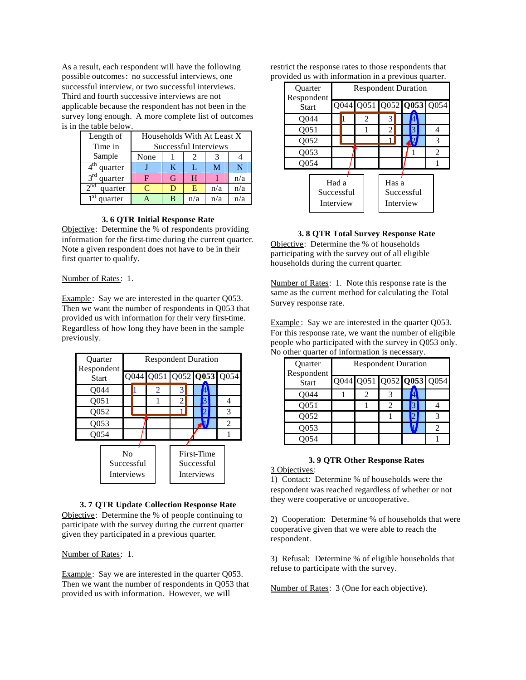As a result, each respondent will have the following possible outcomes: no successful interviews, one successful interview, or two successful interviews. Third and fourth successive interviews are not applicable because the respondent has not been in the survey long enough. A more complete list of outcomes is in the table below.

| Length of                          | Households With At Least X |   |     |     |     |  |  |
|------------------------------------|----------------------------|---|-----|-----|-----|--|--|
| Time in                            | Successful Interviews      |   |     |     |     |  |  |
| Sample                             | None                       |   |     |     |     |  |  |
| $\overline{4}^{\text{th}}$ quarter |                            | K | L   | M   |     |  |  |
| $3rd$ quarter                      | F                          | G | H   |     | n/a |  |  |
| $2^{\overline{nd}}$<br>quarter     | $\subset$                  |   | E   | n/a | n/a |  |  |
| 1 <sup>st</sup><br>quarter         |                            | в | n/a | n/a | n/a |  |  |

### **3. 6 QTR Initial Response Rate**

Objective: Determine the % of respondents providing information for the first-time during the current quarter. Note a given respondent does not have to be in their first quarter to qualify.

Number of Rates: 1.

Example : Say we are interested in the quarter Q053. Then we want the number of respondents in Q053 that provided us with information for their very first-time. Regardless of how long they have been in the sample previously.

| <b>Ouarter</b><br>Respondent<br><b>Start</b> |  | <b>Respondent Duration</b> |                   |                |                          |                   |  |   |                |      |
|----------------------------------------------|--|----------------------------|-------------------|----------------|--------------------------|-------------------|--|---|----------------|------|
|                                              |  | Q044                       |                   |                |                          | Q051 Q052 Q053    |  |   |                | Q054 |
| Q044                                         |  |                            |                   | $\overline{2}$ |                          | 3                 |  |   |                |      |
| Q051                                         |  |                            |                   |                |                          | 2                 |  | 3 |                | 4    |
| Q052                                         |  |                            |                   |                |                          |                   |  |   |                | 3    |
| Q053                                         |  |                            |                   |                |                          |                   |  |   | $\overline{2}$ |      |
| Q054                                         |  |                            |                   |                |                          |                   |  |   |                |      |
|                                              |  |                            |                   |                |                          |                   |  |   |                |      |
| No<br>Successful                             |  |                            |                   |                | First-Time<br>Successful |                   |  |   |                |      |
|                                              |  |                            | <b>Interviews</b> |                |                          | <b>Interviews</b> |  |   |                |      |

# **3. 7 QTR Update Collection Response Rate**

Objective: Determine the % of people continuing to participate with the survey during the current quarter given they participated in a previous quarter.

Number of Rates: 1.

Example: Say we are interested in the quarter Q053. Then we want the number of respondents in Q053 that provided us with information. However, we will

restrict the response rates to those respondents that provided us with information in a previous quarter.

| <b>Ouarter</b><br>Respondent     |              | <b>Respondent Duration</b> |      |                                  |                |  |  |   |  |      |  |
|----------------------------------|--------------|----------------------------|------|----------------------------------|----------------|--|--|---|--|------|--|
|                                  | <b>Start</b> |                            | O044 |                                  | Q051 Q052 Q053 |  |  |   |  | Q054 |  |
| O044                             |              |                            |      | 2                                | 3              |  |  |   |  |      |  |
| Q051                             |              |                            |      |                                  | 2              |  |  | 3 |  |      |  |
| O052                             |              |                            |      |                                  |                |  |  | D |  | 3    |  |
| Q053                             |              |                            |      |                                  |                |  |  |   |  | 2    |  |
| Q054                             |              |                            |      |                                  |                |  |  |   |  |      |  |
| Had a<br>Successful<br>Interview |              |                            |      | Has a<br>Successful<br>Interview |                |  |  |   |  |      |  |

**3. 8 QTR Total Survey Response Rate**

Objective: Determine the % of households participating with the survey out of all eligible households during the current quarter.

Number of Rates: 1. Note this response rate is the same as the current method for calculating the Total Survey response rate.

Example : Say we are interested in the quarter Q053. For this response rate, we want the number of eligible people who participated with the survey in Q053 only. No other quarter of information is necessary.

| Quarter<br>Respondent | <b>Respondent Duration</b> |  |  |  |                          |
|-----------------------|----------------------------|--|--|--|--------------------------|
| <b>Start</b>          |                            |  |  |  | Q044 Q051 Q052 Q053 Q054 |
| Q044                  |                            |  |  |  |                          |
| Q051                  |                            |  |  |  |                          |
| Q052                  |                            |  |  |  |                          |
| O053                  |                            |  |  |  |                          |
|                       |                            |  |  |  |                          |

### **3. 9 QTR Other Response Rates**

3 Objectives:

1) Contact: Determine % of households were the respondent was reached regardless of whether or not they were cooperative or uncooperative.

2) Cooperation: Determine % of households that were cooperative given that we were able to reach the respondent.

3) Refusal: Determine % of eligible households that refuse to participate with the survey.

Number of Rates: 3 (One for each objective).